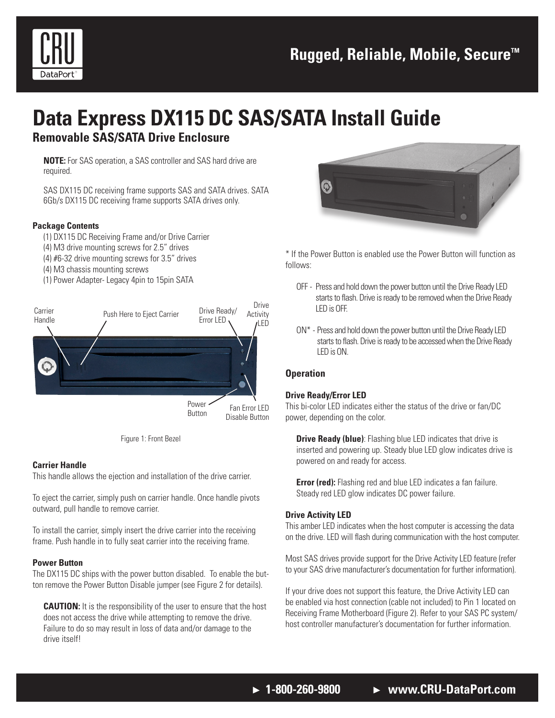

# **Data Express DX115 DC SAS/SATA Install Guide**

### **Removable SAS/SATA Drive Enclosure**

**NOTE:** For SAS operation, a SAS controller and SAS hard drive are required.

SAS DX115 DC receiving frame supports SAS and SATA drives. SATA 6Gb/s DX115 DC receiving frame supports SATA drives only.

#### **Package Contents**

- (1) DX115 DC Receiving Frame and/or Drive Carrier
- (4) M3 drive mounting screws for 2.5" drives
- (4) #6-32 drive mounting screws for 3.5" drives
- (4) M3 chassis mounting screws
- (1) Power Adapter- Legacy 4pin to 15pin SATA





#### **Carrier Handle**

This handle allows the ejection and installation of the drive carrier.

To eject the carrier, simply push on carrier handle. Once handle pivots outward, pull handle to remove carrier.

To install the carrier, simply insert the drive carrier into the receiving frame. Push handle in to fully seat carrier into the receiving frame.

#### **Power Button**

The DX115 DC ships with the power button disabled. To enable the button remove the Power Button Disable jumper (see Figure 2 for details).

**CAUTION:** It is the responsibility of the user to ensure that the host does not access the drive while attempting to remove the drive. Failure to do so may result in loss of data and/or damage to the drive itself!



\* If the Power Button is enabled use the Power Button will function as follows:

- OFF Press and hold down the power button until the Drive Ready LED starts to flash. Drive is ready to be removed when the Drive Ready LED is OFF.
- ON\* Press and hold down the power button until the Drive Ready LED starts to flash. Drive is ready to be accessed when the Drive Ready LED is ON.

#### **Operation**

#### **Drive Ready/Error LED**

This bi-color LED indicates either the status of the drive or fan/DC power, depending on the color.

**Drive Ready (blue)**: Flashing blue LED indicates that drive is inserted and powering up. Steady blue LED glow indicates drive is powered on and ready for access.

**Error (red):** Flashing red and blue LED indicates a fan failure. Steady red LED glow indicates DC power failure.

#### **Drive Activity LED**

This amber LED indicates when the host computer is accessing the data on the drive. LED will flash during communication with the host computer.

Most SAS drives provide support for the Drive Activity LED feature (refer to your SAS drive manufacturer's documentation for further information).

If your drive does not support this feature, the Drive Activity LED can be enabled via host connection (cable not included) to Pin 1 located on Receiving Frame Motherboard (Figure 2). Refer to your SAS PC system/ host controller manufacturer's documentation for further information.